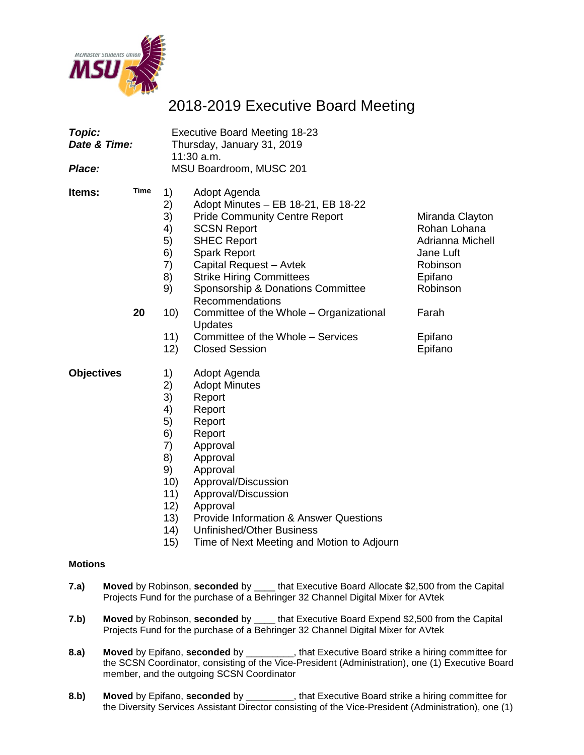

# 2018-2019 Executive Board Meeting

| Topic:<br>Date & Time: |            |                                                                                               | <b>Executive Board Meeting 18-23</b><br>Thursday, January 31, 2019<br>11:30 a.m.                                                                                                                                                                                                                                                                                                                        |                                                                                                                                    |
|------------------------|------------|-----------------------------------------------------------------------------------------------|---------------------------------------------------------------------------------------------------------------------------------------------------------------------------------------------------------------------------------------------------------------------------------------------------------------------------------------------------------------------------------------------------------|------------------------------------------------------------------------------------------------------------------------------------|
| Place:                 |            |                                                                                               | MSU Boardroom, MUSC 201                                                                                                                                                                                                                                                                                                                                                                                 |                                                                                                                                    |
| ltems:                 | Time<br>20 | 1)<br>2)<br>3)<br>4)<br>5)<br>6)<br>7)<br>8)<br>9)<br>10)<br>11)<br>12)                       | Adopt Agenda<br>Adopt Minutes - EB 18-21, EB 18-22<br><b>Pride Community Centre Report</b><br><b>SCSN Report</b><br><b>SHEC Report</b><br><b>Spark Report</b><br>Capital Request - Avtek<br><b>Strike Hiring Committees</b><br>Sponsorship & Donations Committee<br>Recommendations<br>Committee of the Whole - Organizational<br>Updates<br>Committee of the Whole - Services<br><b>Closed Session</b> | Miranda Clayton<br>Rohan Lohana<br>Adrianna Michell<br>Jane Luft<br>Robinson<br>Epifano<br>Robinson<br>Farah<br>Epifano<br>Epifano |
| <b>Objectives</b>      |            | 1)<br>2)<br>3)<br>4)<br>5)<br>6)<br>7)<br>8)<br>9)<br>10)<br>11)<br>12)<br>13)<br>(14)<br>15) | Adopt Agenda<br><b>Adopt Minutes</b><br>Report<br>Report<br>Report<br>Report<br>Approval<br>Approval<br>Approval<br>Approval/Discussion<br>Approval/Discussion<br>Approval<br><b>Provide Information &amp; Answer Questions</b><br><b>Unfinished/Other Business</b><br>Time of Next Meeting and Motion to Adjourn                                                                                       |                                                                                                                                    |
| Motions                |            |                                                                                               |                                                                                                                                                                                                                                                                                                                                                                                                         |                                                                                                                                    |

- **7.a) Moved** by Robinson, **seconded** by \_\_\_\_ that Executive Board Allocate \$2,500 from the Capital Projects Fund for the purchase of a Behringer 32 Channel Digital Mixer for AVtek
- **7.b) Moved** by Robinson, **seconded** by \_\_\_\_ that Executive Board Expend \$2,500 from the Capital Projects Fund for the purchase of a Behringer 32 Channel Digital Mixer for AVtek
- **8.a) Moved** by Epifano, **seconded** by \_\_\_\_\_\_\_\_\_, that Executive Board strike a hiring committee for the SCSN Coordinator, consisting of the Vice-President (Administration), one (1) Executive Board member, and the outgoing SCSN Coordinator
- **8.b) Moved** by Epifano, **seconded** by \_\_\_\_\_\_\_\_\_, that Executive Board strike a hiring committee for the Diversity Services Assistant Director consisting of the Vice-President (Administration), one (1)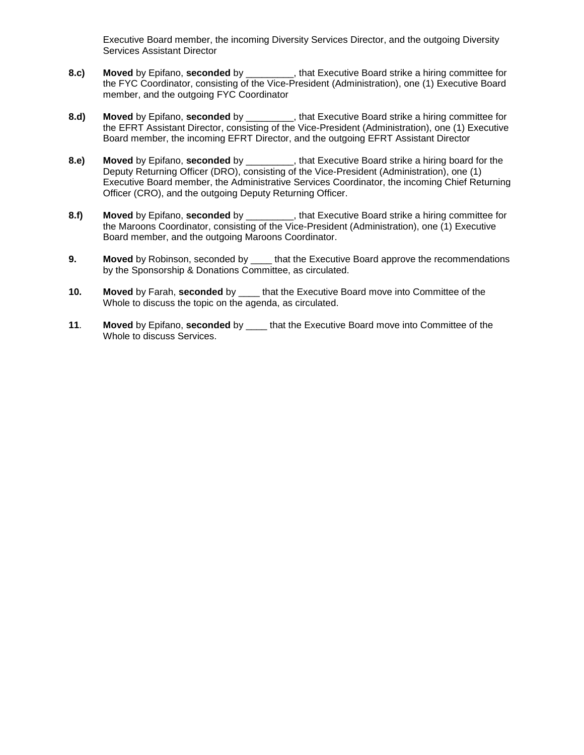Executive Board member, the incoming Diversity Services Director, and the outgoing Diversity Services Assistant Director

- **8.c) Moved** by Epifano, **seconded** by \_\_\_\_\_\_\_\_\_, that Executive Board strike a hiring committee for the FYC Coordinator, consisting of the Vice-President (Administration), one (1) Executive Board member, and the outgoing FYC Coordinator
- **8.d) Moved** by Epifano, **seconded** by \_\_\_\_\_\_\_\_\_, that Executive Board strike a hiring committee for the EFRT Assistant Director, consisting of the Vice-President (Administration), one (1) Executive Board member, the incoming EFRT Director, and the outgoing EFRT Assistant Director
- **8.e) Moved** by Epifano, **seconded** by \_\_\_\_\_\_\_\_\_, that Executive Board strike a hiring board for the Deputy Returning Officer (DRO), consisting of the Vice-President (Administration), one (1) Executive Board member, the Administrative Services Coordinator, the incoming Chief Returning Officer (CRO), and the outgoing Deputy Returning Officer.
- **8.f) Moved** by Epifano, **seconded** by \_\_\_\_\_\_\_\_\_, that Executive Board strike a hiring committee for the Maroons Coordinator, consisting of the Vice-President (Administration), one (1) Executive Board member, and the outgoing Maroons Coordinator.
- **9. Moved** by Robinson, seconded by \_\_\_\_ that the Executive Board approve the recommendations by the Sponsorship & Donations Committee, as circulated.
- **10. Moved** by Farah, **seconded** by \_\_\_\_ that the Executive Board move into Committee of the Whole to discuss the topic on the agenda, as circulated.
- **11**. **Moved** by Epifano, **seconded** by \_\_\_\_ that the Executive Board move into Committee of the Whole to discuss Services.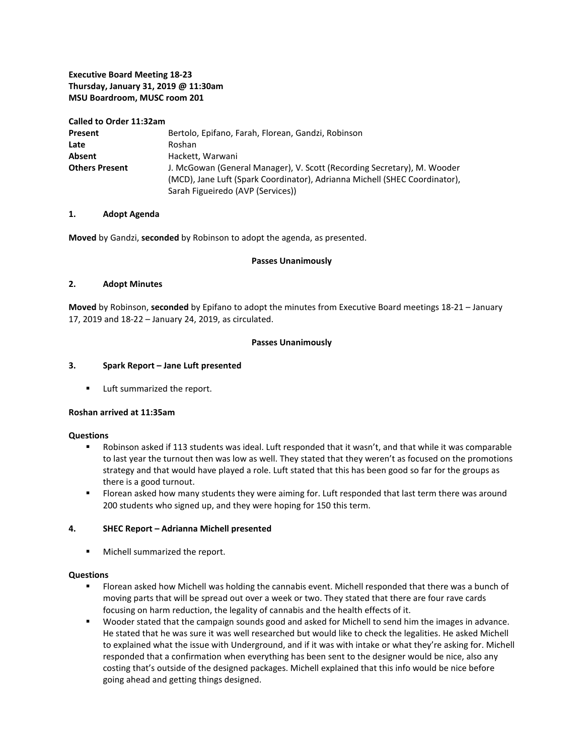### **Executive Board Meeting 18-23 Thursday, January 31, 2019 @ 11:30am MSU Boardroom, MUSC room 201**

**Called to Order 11:32am**

| Present               | Bertolo, Epifano, Farah, Florean, Gandzi, Robinson                                                                                                                                         |
|-----------------------|--------------------------------------------------------------------------------------------------------------------------------------------------------------------------------------------|
| Late                  | Roshan                                                                                                                                                                                     |
| <b>Absent</b>         | Hackett, Warwani                                                                                                                                                                           |
| <b>Others Present</b> | J. McGowan (General Manager), V. Scott (Recording Secretary), M. Wooder<br>(MCD), Jane Luft (Spark Coordinator), Adrianna Michell (SHEC Coordinator),<br>Sarah Figueiredo (AVP (Services)) |

#### **1. Adopt Agenda**

**Moved** by Gandzi, **seconded** by Robinson to adopt the agenda, as presented.

#### **Passes Unanimously**

#### **2. Adopt Minutes**

**Moved** by Robinson, **seconded** by Epifano to adopt the minutes from Executive Board meetings 18-21 – January 17, 2019 and 18-22 – January 24, 2019, as circulated.

#### **Passes Unanimously**

#### **3. Spark Report – Jane Luft presented**

**Luft summarized the report.** 

#### **Roshan arrived at 11:35am**

#### **Questions**

- **BED 10.5 ID 123 ST 2018 IS 120 ST 2018 WAS 100 FM 2018 WASH** That wasn't, and that while it was comparable to last year the turnout then was low as well. They stated that they weren't as focused on the promotions strategy and that would have played a role. Luft stated that this has been good so far for the groups as there is a good turnout.
- **FIOT** Florean asked how many students they were aiming for. Luft responded that last term there was around 200 students who signed up, and they were hoping for 150 this term.

#### **4. SHEC Report – Adrianna Michell presented**

**Michell summarized the report.** 

#### **Questions**

- Florean asked how Michell was holding the cannabis event. Michell responded that there was a bunch of moving parts that will be spread out over a week or two. They stated that there are four rave cards focusing on harm reduction, the legality of cannabis and the health effects of it.
- Wooder stated that the campaign sounds good and asked for Michell to send him the images in advance. He stated that he was sure it was well researched but would like to check the legalities. He asked Michell to explained what the issue with Underground, and if it was with intake or what they're asking for. Michell responded that a confirmation when everything has been sent to the designer would be nice, also any costing that's outside of the designed packages. Michell explained that this info would be nice before going ahead and getting things designed.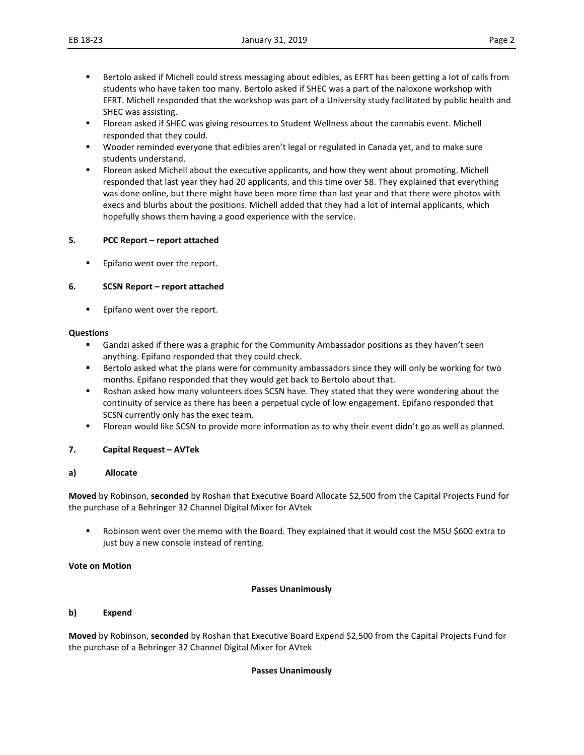- **Bertolo asked if Michell could stress messaging about edibles, as EFRT has been getting a lot of calls from** students who have taken too many. Bertolo asked if SHEC was a part of the naloxone workshop with EFRT. Michell responded that the workshop was part of a University study facilitated by public health and SHEC was assisting.
- **FIOT** Florean asked if SHEC was giving resources to Student Wellness about the cannabis event. Michell responded that they could.
- Wooder reminded everyone that edibles aren't legal or regulated in Canada yet, and to make sure students understand.
- Florean asked Michell about the executive applicants, and how they went about promoting. Michell responded that last year they had 20 applicants, and this time over 58. They explained that everything was done online, but there might have been more time than last year and that there were photos with execs and blurbs about the positions. Michell added that they had a lot of internal applicants, which hopefully shows them having a good experience with the service.

#### **5. PCC Report – report attached**

**Epifano went over the report.** 

#### **6. SCSN Report – report attached**

Epifano went over the report.

#### **Questions**

- Gandzi asked if there was a graphic for the Community Ambassador positions as they haven't seen anything. Epifano responded that they could check.
- Bertolo asked what the plans were for community ambassadors since they will only be working for two months. Epifano responded that they would get back to Bertolo about that.
- **BUM** Roshan asked how many volunteers does SCSN have. They stated that they were wondering about the continuity of service as there has been a perpetual cycle of low engagement. Epifano responded that SCSN currently only has the exec team.
- Florean would like SCSN to provide more information as to why their event didn't go as well as planned.

#### **7. Capital Request – AVTek**

#### **a) Allocate**

**Moved** by Robinson, **seconded** by Roshan that Executive Board Allocate \$2,500 from the Capital Projects Fund for the purchase of a Behringer 32 Channel Digital Mixer for AVtek

 Robinson went over the memo with the Board. They explained that it would cost the MSU \$600 extra to just buy a new console instead of renting.

#### **Vote on Motion**

#### **Passes Unanimously**

#### **b) Expend**

**Moved** by Robinson, **seconded** by Roshan that Executive Board Expend \$2,500 from the Capital Projects Fund for the purchase of a Behringer 32 Channel Digital Mixer for AVtek

#### **Passes Unanimously**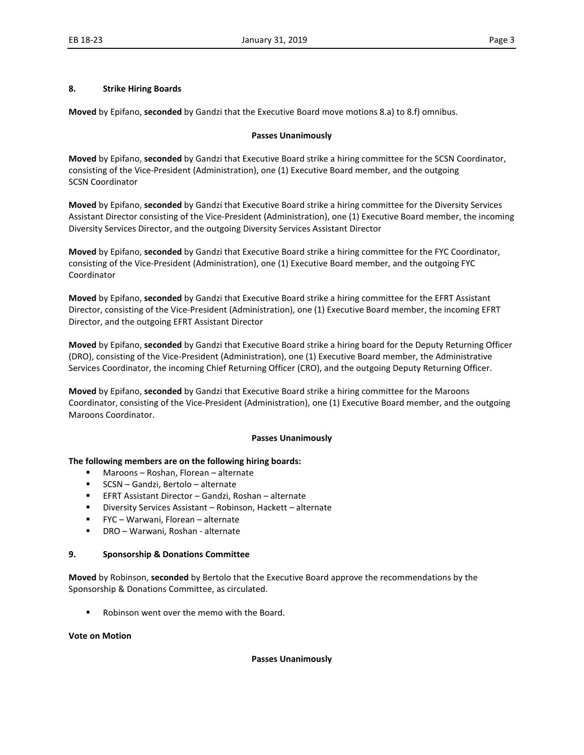#### **8. Strike Hiring Boards**

**Moved** by Epifano, **seconded** by Gandzi that the Executive Board move motions 8.a) to 8.f) omnibus.

#### **Passes Unanimously**

**Moved** by Epifano, **seconded** by Gandzi that Executive Board strike a hiring committee for the SCSN Coordinator, consisting of the Vice-President (Administration), one (1) Executive Board member, and the outgoing SCSN Coordinator

**Moved** by Epifano, **seconded** by Gandzi that Executive Board strike a hiring committee for the Diversity Services Assistant Director consisting of the Vice-President (Administration), one (1) Executive Board member, the incoming Diversity Services Director, and the outgoing Diversity Services Assistant Director

**Moved** by Epifano, **seconded** by Gandzi that Executive Board strike a hiring committee for the FYC Coordinator, consisting of the Vice-President (Administration), one (1) Executive Board member, and the outgoing FYC Coordinator

**Moved** by Epifano, **seconded** by Gandzi that Executive Board strike a hiring committee for the EFRT Assistant Director, consisting of the Vice-President (Administration), one (1) Executive Board member, the incoming EFRT Director, and the outgoing EFRT Assistant Director

**Moved** by Epifano, **seconded** by Gandzi that Executive Board strike a hiring board for the Deputy Returning Officer (DRO), consisting of the Vice-President (Administration), one (1) Executive Board member, the Administrative Services Coordinator, the incoming Chief Returning Officer (CRO), and the outgoing Deputy Returning Officer.

**Moved** by Epifano, **seconded** by Gandzi that Executive Board strike a hiring committee for the Maroons Coordinator, consisting of the Vice-President (Administration), one (1) Executive Board member, and the outgoing Maroons Coordinator.

#### **Passes Unanimously**

#### **The following members are on the following hiring boards:**

- Maroons Roshan, Florean alternate
- SCSN Gandzi, Bertolo alternate
- EFRT Assistant Director Gandzi, Roshan alternate
- Diversity Services Assistant Robinson, Hackett alternate
- FYC Warwani, Florean alternate
- DRO Warwani, Roshan alternate

#### **9. Sponsorship & Donations Committee**

**Moved** by Robinson, **seconded** by Bertolo that the Executive Board approve the recommendations by the Sponsorship & Donations Committee, as circulated.

Robinson went over the memo with the Board.

#### **Vote on Motion**

#### **Passes Unanimously**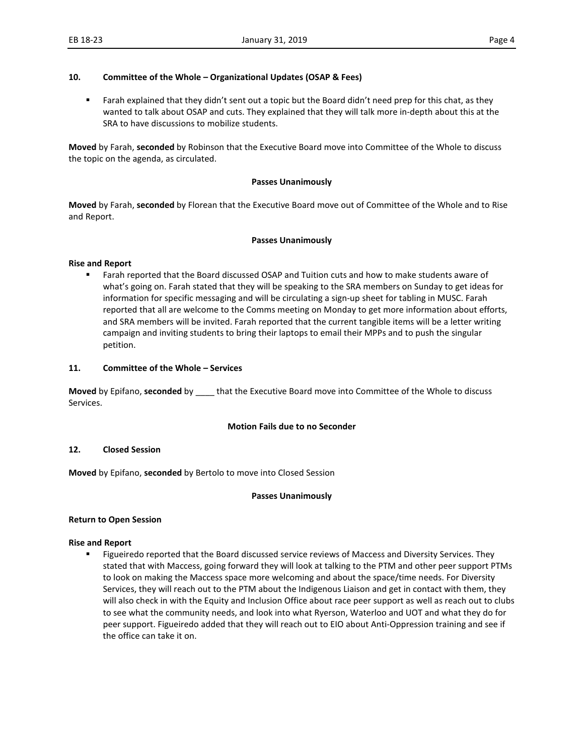#### **10. Committee of the Whole – Organizational Updates (OSAP & Fees)**

 Farah explained that they didn't sent out a topic but the Board didn't need prep for this chat, as they wanted to talk about OSAP and cuts. They explained that they will talk more in-depth about this at the SRA to have discussions to mobilize students.

**Moved** by Farah, **seconded** by Robinson that the Executive Board move into Committee of the Whole to discuss the topic on the agenda, as circulated.

#### **Passes Unanimously**

**Moved** by Farah, **seconded** by Florean that the Executive Board move out of Committee of the Whole and to Rise and Report.

#### **Passes Unanimously**

#### **Rise and Report**

**Farah reported that the Board discussed OSAP and Tuition cuts and how to make students aware of** what's going on. Farah stated that they will be speaking to the SRA members on Sunday to get ideas for information for specific messaging and will be circulating a sign-up sheet for tabling in MUSC. Farah reported that all are welcome to the Comms meeting on Monday to get more information about efforts, and SRA members will be invited. Farah reported that the current tangible items will be a letter writing campaign and inviting students to bring their laptops to email their MPPs and to push the singular petition.

#### **11. Committee of the Whole – Services**

**Moved** by Epifano, **seconded** by \_\_\_\_ that the Executive Board move into Committee of the Whole to discuss Services.

#### **Motion Fails due to no Seconder**

#### **12. Closed Session**

**Moved** by Epifano, **seconded** by Bertolo to move into Closed Session

#### **Passes Unanimously**

#### **Return to Open Session**

#### **Rise and Report**

**Figueiredo reported that the Board discussed service reviews of Maccess and Diversity Services. They** stated that with Maccess, going forward they will look at talking to the PTM and other peer support PTMs to look on making the Maccess space more welcoming and about the space/time needs. For Diversity Services, they will reach out to the PTM about the Indigenous Liaison and get in contact with them, they will also check in with the Equity and Inclusion Office about race peer support as well as reach out to clubs to see what the community needs, and look into what Ryerson, Waterloo and UOT and what they do for peer support. Figueiredo added that they will reach out to EIO about Anti-Oppression training and see if the office can take it on.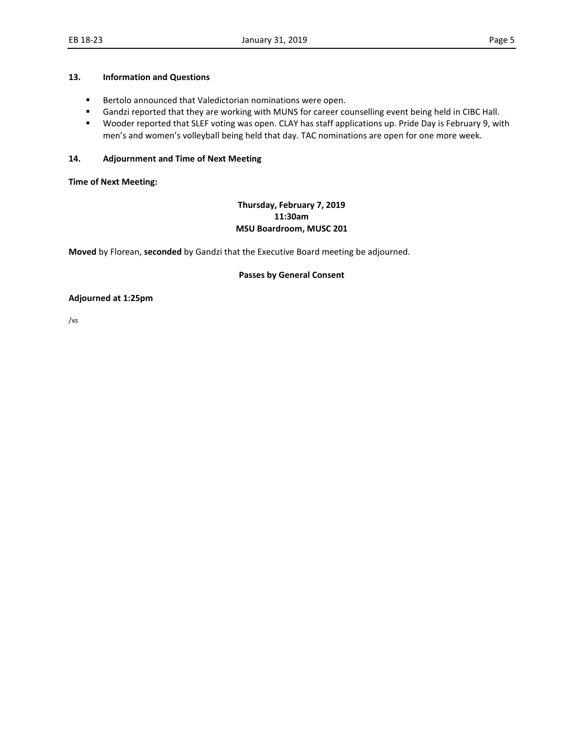#### **13. Information and Questions**

- Bertolo announced that Valedictorian nominations were open.
- Gandzi reported that they are working with MUNS for career counselling event being held in CIBC Hall.
- Wooder reported that SLEF voting was open. CLAY has staff applications up. Pride Day is February 9, with men's and women's volleyball being held that day. TAC nominations are open for one more week.

#### **14. Adjournment and Time of Next Meeting**

**Time of Next Meeting:** 

### **Thursday, February 7, 2019 11:30am MSU Boardroom, MUSC 201**

**Moved** by Florean, **seconded** by Gandzi that the Executive Board meeting be adjourned.

#### **Passes by General Consent**

**Adjourned at 1:25pm**

/vs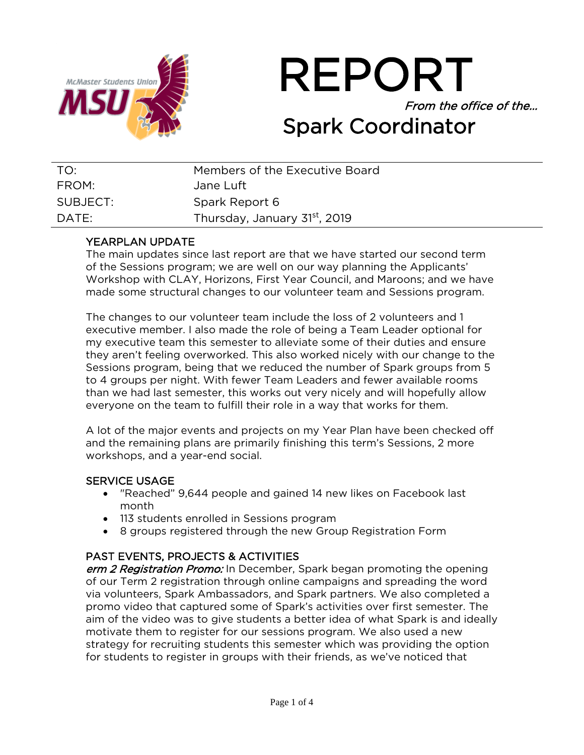

REPORT From the office of the… Spark Coordinator

| TO:      | Members of the Executive Board            |
|----------|-------------------------------------------|
| FROM:    | Jane Luft                                 |
| SUBJECT: | Spark Report 6                            |
| DATF:    | Thursday, January 31 <sup>st</sup> , 2019 |

### YEARPLAN UPDATE

The main updates since last report are that we have started our second term of the Sessions program; we are well on our way planning the Applicants' Workshop with CLAY, Horizons, First Year Council, and Maroons; and we have made some structural changes to our volunteer team and Sessions program.

The changes to our volunteer team include the loss of 2 volunteers and 1 executive member. I also made the role of being a Team Leader optional for my executive team this semester to alleviate some of their duties and ensure they aren't feeling overworked. This also worked nicely with our change to the Sessions program, being that we reduced the number of Spark groups from 5 to 4 groups per night. With fewer Team Leaders and fewer available rooms than we had last semester, this works out very nicely and will hopefully allow everyone on the team to fulfill their role in a way that works for them.

A lot of the major events and projects on my Year Plan have been checked off and the remaining plans are primarily finishing this term's Sessions, 2 more workshops, and a year-end social.

### SERVICE USAGE

- "Reached" 9,644 people and gained 14 new likes on Facebook last month
- 113 students enrolled in Sessions program
- 8 groups registered through the new Group Registration Form

### PAST EVENTS, PROJECTS & ACTIVITIES

erm 2 Registration Promo: In December, Spark began promoting the opening of our Term 2 registration through online campaigns and spreading the word via volunteers, Spark Ambassadors, and Spark partners. We also completed a promo video that captured some of Spark's activities over first semester. The aim of the video was to give students a better idea of what Spark is and ideally motivate them to register for our sessions program. We also used a new strategy for recruiting students this semester which was providing the option for students to register in groups with their friends, as we've noticed that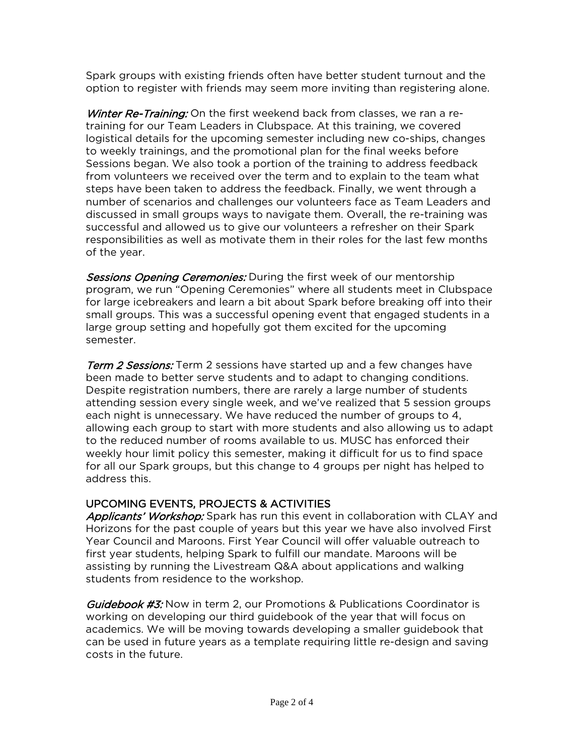Spark groups with existing friends often have better student turnout and the option to register with friends may seem more inviting than registering alone.

Winter Re-Training: On the first weekend back from classes, we ran a retraining for our Team Leaders in Clubspace. At this training, we covered logistical details for the upcoming semester including new co-ships, changes to weekly trainings, and the promotional plan for the final weeks before Sessions began. We also took a portion of the training to address feedback from volunteers we received over the term and to explain to the team what steps have been taken to address the feedback. Finally, we went through a number of scenarios and challenges our volunteers face as Team Leaders and discussed in small groups ways to navigate them. Overall, the re-training was successful and allowed us to give our volunteers a refresher on their Spark responsibilities as well as motivate them in their roles for the last few months of the year.

Sessions Opening Ceremonies: During the first week of our mentorship program, we run "Opening Ceremonies" where all students meet in Clubspace for large icebreakers and learn a bit about Spark before breaking off into their small groups. This was a successful opening event that engaged students in a large group setting and hopefully got them excited for the upcoming semester.

**Term 2 Sessions:** Term 2 sessions have started up and a few changes have been made to better serve students and to adapt to changing conditions. Despite registration numbers, there are rarely a large number of students attending session every single week, and we've realized that 5 session groups each night is unnecessary. We have reduced the number of groups to 4, allowing each group to start with more students and also allowing us to adapt to the reduced number of rooms available to us. MUSC has enforced their weekly hour limit policy this semester, making it difficult for us to find space for all our Spark groups, but this change to 4 groups per night has helped to address this.

### UPCOMING EVENTS, PROJECTS & ACTIVITIES

Applicants' Workshop: Spark has run this event in collaboration with CLAY and Horizons for the past couple of years but this year we have also involved First Year Council and Maroons. First Year Council will offer valuable outreach to first year students, helping Spark to fulfill our mandate. Maroons will be assisting by running the Livestream Q&A about applications and walking students from residence to the workshop.

Guidebook #3: Now in term 2, our Promotions & Publications Coordinator is working on developing our third guidebook of the year that will focus on academics. We will be moving towards developing a smaller guidebook that can be used in future years as a template requiring little re-design and saving costs in the future.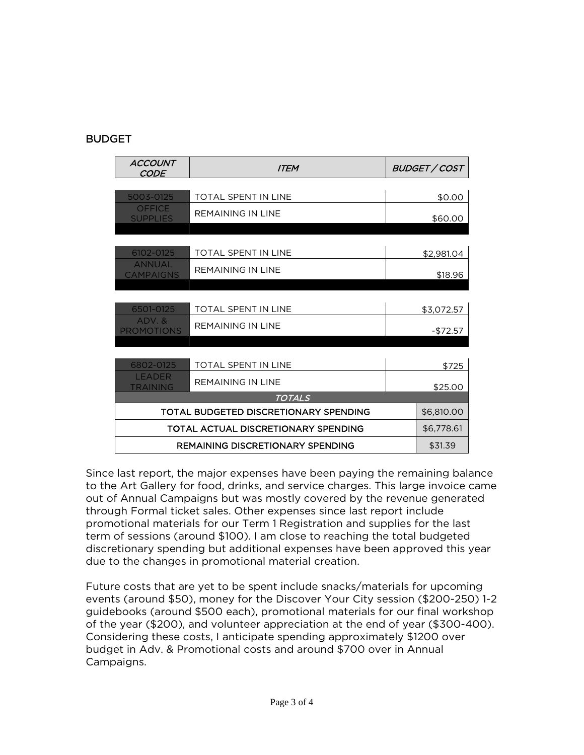### BUDGET

| <b>ACCOUNT</b><br><i>CODE</i>     | <b>ITEM</b>                             |  | BUDGET / COST |  |  |  |
|-----------------------------------|-----------------------------------------|--|---------------|--|--|--|
|                                   |                                         |  |               |  |  |  |
| 5003-0125                         | <b>TOTAL SPENT IN LINE</b>              |  | \$0.00        |  |  |  |
| <b>OFFICE</b><br><b>SUPPLIES</b>  | <b>REMAINING IN LINE</b>                |  | \$60.00       |  |  |  |
|                                   |                                         |  |               |  |  |  |
| 6102-0125                         | <b>TOTAL SPENT IN LINE</b>              |  | \$2,981.04    |  |  |  |
| <b>ANNUAL</b><br><b>CAMPAIGNS</b> | <b>REMAINING IN LINE</b>                |  | \$18.96       |  |  |  |
|                                   |                                         |  |               |  |  |  |
| 6501-0125                         | <b>TOTAL SPENT IN LINE</b>              |  | \$3,072.57    |  |  |  |
| ADV.&<br><b>PROMOTIONS</b>        | <b>REMAINING IN LINE</b>                |  | $-$72.57$     |  |  |  |
|                                   |                                         |  |               |  |  |  |
| 6802-0125                         | <b>TOTAL SPENT IN LINE</b>              |  | \$725         |  |  |  |
| <b>LEADER</b><br>TRAINING         | REMAINING IN LINE                       |  | \$25.00       |  |  |  |
| <b>TOTALS</b>                     |                                         |  |               |  |  |  |
|                                   | TOTAL BUDGETED DISCRETIONARY SPENDING   |  | \$6,810.00    |  |  |  |
|                                   | TOTAL ACTUAL DISCRETIONARY SPENDING     |  | \$6,778.61    |  |  |  |
|                                   | <b>REMAINING DISCRETIONARY SPENDING</b> |  | \$31.39       |  |  |  |

Since last report, the major expenses have been paying the remaining balance to the Art Gallery for food, drinks, and service charges. This large invoice came out of Annual Campaigns but was mostly covered by the revenue generated through Formal ticket sales. Other expenses since last report include promotional materials for our Term 1 Registration and supplies for the last term of sessions (around \$100). I am close to reaching the total budgeted discretionary spending but additional expenses have been approved this year due to the changes in promotional material creation.

Future costs that are yet to be spent include snacks/materials for upcoming events (around \$50), money for the Discover Your City session (\$200-250) 1-2 guidebooks (around \$500 each), promotional materials for our final workshop of the year (\$200), and volunteer appreciation at the end of year (\$300-400). Considering these costs, I anticipate spending approximately \$1200 over budget in Adv. & Promotional costs and around \$700 over in Annual Campaigns.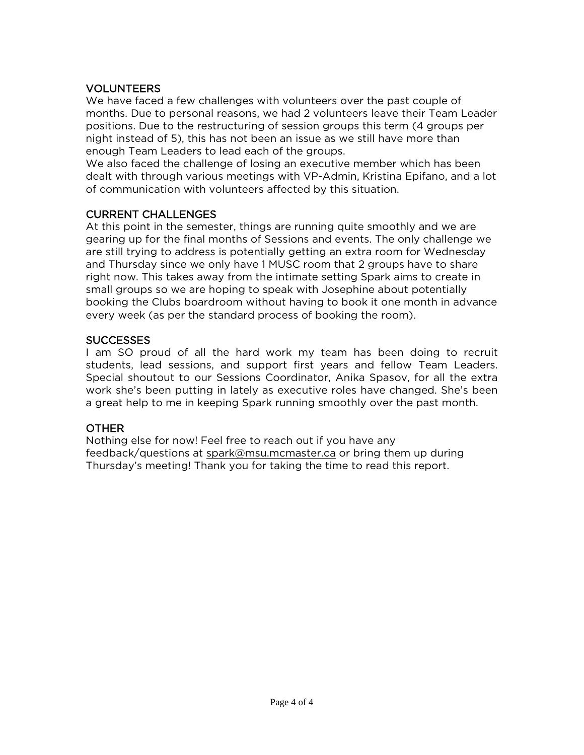### VOLUNTEERS

We have faced a few challenges with volunteers over the past couple of months. Due to personal reasons, we had 2 volunteers leave their Team Leader positions. Due to the restructuring of session groups this term (4 groups per night instead of 5), this has not been an issue as we still have more than enough Team Leaders to lead each of the groups.

We also faced the challenge of losing an executive member which has been dealt with through various meetings with VP-Admin, Kristina Epifano, and a lot of communication with volunteers affected by this situation.

### CURRENT CHALLENGES

At this point in the semester, things are running quite smoothly and we are gearing up for the final months of Sessions and events. The only challenge we are still trying to address is potentially getting an extra room for Wednesday and Thursday since we only have 1 MUSC room that 2 groups have to share right now. This takes away from the intimate setting Spark aims to create in small groups so we are hoping to speak with Josephine about potentially booking the Clubs boardroom without having to book it one month in advance every week (as per the standard process of booking the room).

### **SUCCESSES**

I am SO proud of all the hard work my team has been doing to recruit students, lead sessions, and support first years and fellow Team Leaders. Special shoutout to our Sessions Coordinator, Anika Spasov, for all the extra work she's been putting in lately as executive roles have changed. She's been a great help to me in keeping Spark running smoothly over the past month.

### OTHER

Nothing else for now! Feel free to reach out if you have any feedback/questions at [spark@msu.mcmaster.ca](mailto:spark@msu.mcmaster.ca) or bring them up during Thursday's meeting! Thank you for taking the time to read this report.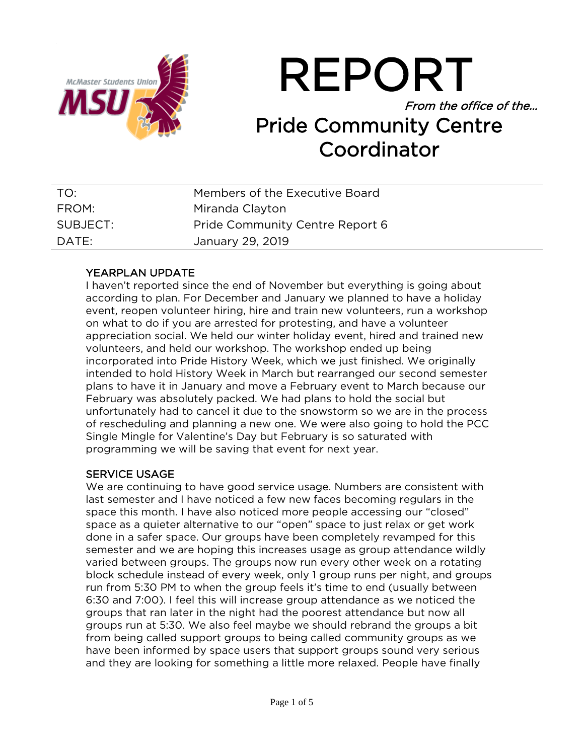

REPORT From the office of the… Pride Community Centre Coordinator

| TO:      | Members of the Executive Board  |
|----------|---------------------------------|
| FROM:    | Miranda Clayton                 |
| SUBJECT: | Pride Community Centre Report 6 |
| DATE:    | January 29, 2019                |

### YEARPLAN UPDATE

I haven't reported since the end of November but everything is going about according to plan. For December and January we planned to have a holiday event, reopen volunteer hiring, hire and train new volunteers, run a workshop on what to do if you are arrested for protesting, and have a volunteer appreciation social. We held our winter holiday event, hired and trained new volunteers, and held our workshop. The workshop ended up being incorporated into Pride History Week, which we just finished. We originally intended to hold History Week in March but rearranged our second semester plans to have it in January and move a February event to March because our February was absolutely packed. We had plans to hold the social but unfortunately had to cancel it due to the snowstorm so we are in the process of rescheduling and planning a new one. We were also going to hold the PCC Single Mingle for Valentine's Day but February is so saturated with programming we will be saving that event for next year.

### SERVICE USAGE

We are continuing to have good service usage. Numbers are consistent with last semester and I have noticed a few new faces becoming regulars in the space this month. I have also noticed more people accessing our "closed" space as a quieter alternative to our "open" space to just relax or get work done in a safer space. Our groups have been completely revamped for this semester and we are hoping this increases usage as group attendance wildly varied between groups. The groups now run every other week on a rotating block schedule instead of every week, only 1 group runs per night, and groups run from 5:30 PM to when the group feels it's time to end (usually between 6:30 and 7:00). I feel this will increase group attendance as we noticed the groups that ran later in the night had the poorest attendance but now all groups run at 5:30. We also feel maybe we should rebrand the groups a bit from being called support groups to being called community groups as we have been informed by space users that support groups sound very serious and they are looking for something a little more relaxed. People have finally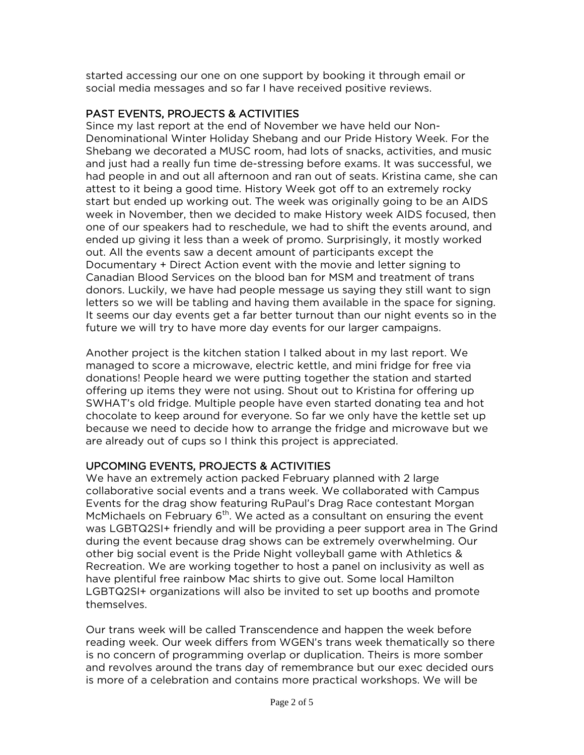started accessing our one on one support by booking it through email or social media messages and so far I have received positive reviews.

### PAST EVENTS, PROJECTS & ACTIVITIES

Since my last report at the end of November we have held our Non-Denominational Winter Holiday Shebang and our Pride History Week. For the Shebang we decorated a MUSC room, had lots of snacks, activities, and music and just had a really fun time de-stressing before exams. It was successful, we had people in and out all afternoon and ran out of seats. Kristina came, she can attest to it being a good time. History Week got off to an extremely rocky start but ended up working out. The week was originally going to be an AIDS week in November, then we decided to make History week AIDS focused, then one of our speakers had to reschedule, we had to shift the events around, and ended up giving it less than a week of promo. Surprisingly, it mostly worked out. All the events saw a decent amount of participants except the Documentary + Direct Action event with the movie and letter signing to Canadian Blood Services on the blood ban for MSM and treatment of trans donors. Luckily, we have had people message us saying they still want to sign letters so we will be tabling and having them available in the space for signing. It seems our day events get a far better turnout than our night events so in the future we will try to have more day events for our larger campaigns.

Another project is the kitchen station I talked about in my last report. We managed to score a microwave, electric kettle, and mini fridge for free via donations! People heard we were putting together the station and started offering up items they were not using. Shout out to Kristina for offering up SWHAT's old fridge. Multiple people have even started donating tea and hot chocolate to keep around for everyone. So far we only have the kettle set up because we need to decide how to arrange the fridge and microwave but we are already out of cups so I think this project is appreciated.

### UPCOMING EVENTS, PROJECTS & ACTIVITIES

We have an extremely action packed February planned with 2 large collaborative social events and a trans week. We collaborated with Campus Events for the drag show featuring RuPaul's Drag Race contestant Morgan McMichaels on February  $6<sup>th</sup>$ . We acted as a consultant on ensuring the event was LGBTQ2SI+ friendly and will be providing a peer support area in The Grind during the event because drag shows can be extremely overwhelming. Our other big social event is the Pride Night volleyball game with Athletics & Recreation. We are working together to host a panel on inclusivity as well as have plentiful free rainbow Mac shirts to give out. Some local Hamilton LGBTQ2SI+ organizations will also be invited to set up booths and promote themselves.

Our trans week will be called Transcendence and happen the week before reading week. Our week differs from WGEN's trans week thematically so there is no concern of programming overlap or duplication. Theirs is more somber and revolves around the trans day of remembrance but our exec decided ours is more of a celebration and contains more practical workshops. We will be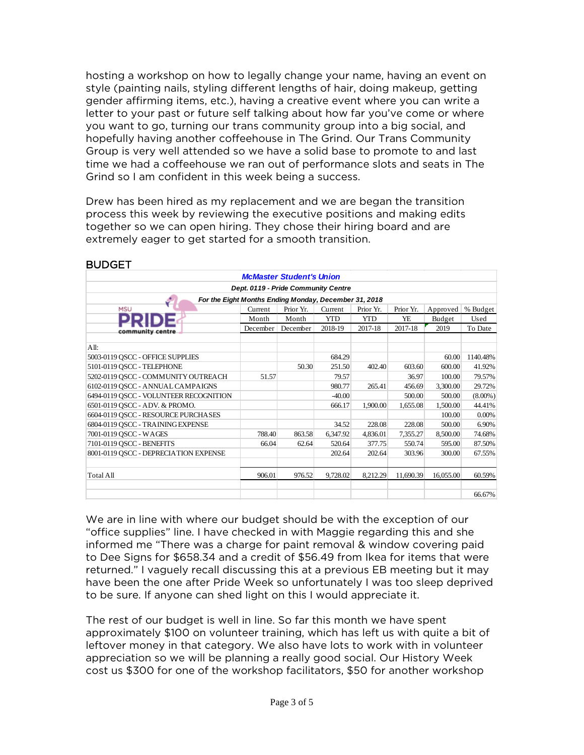hosting a workshop on how to legally change your name, having an event on style (painting nails, styling different lengths of hair, doing makeup, getting gender affirming items, etc.), having a creative event where you can write a letter to your past or future self talking about how far you've come or where you want to go, turning our trans community group into a big social, and hopefully having another coffeehouse in The Grind. Our Trans Community Group is very well attended so we have a solid base to promote to and last time we had a coffeehouse we ran out of performance slots and seats in The Grind so I am confident in this week being a success.

Drew has been hired as my replacement and we are began the transition process this week by reviewing the executive positions and making edits together so we can open hiring. They chose their hiring board and are extremely eager to get started for a smooth transition.

| <b>McMaster Student's Union</b>                                                                 |          |          |            |            |           |           |            |  |
|-------------------------------------------------------------------------------------------------|----------|----------|------------|------------|-----------|-----------|------------|--|
| Dept. 0119 - Pride Community Centre                                                             |          |          |            |            |           |           |            |  |
| For the Eight Months Ending Monday, December 31, 2018                                           |          |          |            |            |           |           |            |  |
| <b>MSU</b><br>Prior Yr.<br>Prior Yr.<br>Current<br>Current<br>Prior Yr.<br>Approved<br>% Budget |          |          |            |            |           |           |            |  |
|                                                                                                 | Month    | Month    | <b>YTD</b> | <b>YTD</b> | YE        | Budget    | Used       |  |
| community centre                                                                                | December | December | 2018-19    | 2017-18    | 2017-18   | 2019      | To Date    |  |
|                                                                                                 |          |          |            |            |           |           |            |  |
| All:                                                                                            |          |          |            |            |           |           |            |  |
| 5003-0119 OSCC - OFFICE SUPPLIES                                                                |          |          | 684.29     |            |           | 60.00     | 1140.48%   |  |
| 5101-0119 OSCC - TELEPHONE                                                                      |          | 50.30    | 251.50     | 402.40     | 603.60    | 600.00    | 41.92%     |  |
| 5202-0119 OSCC - COMMUNITY OUTREACH                                                             | 51.57    |          | 79.57      |            | 36.97     | 100.00    | 79.57%     |  |
| 6102-0119 QSCC - ANNUAL CAMPAIGNS                                                               |          |          | 980.77     | 265.41     | 456.69    | 3,300.00  | 29.72%     |  |
| 6494-0119 OSCC - VOLUNTEER RECOGNITION                                                          |          |          | $-40.00$   |            | 500.00    | 500.00    | $(8.00\%)$ |  |
| 6501-0119 OSCC - ADV. & PROMO.                                                                  |          |          | 666.17     | 1,900.00   | 1,655.08  | 1,500.00  | 44.41%     |  |
| 6604-0119 OSCC - RESOURCE PURCHASES                                                             |          |          |            |            |           | 100.00    | 0.00%      |  |
| 6804-0119 OSCC - TRAINING EXPENSE                                                               |          |          | 34.52      | 228.08     | 228.08    | 500.00    | 6.90%      |  |
| 7001-0119 OSCC - WAGES                                                                          | 788.40   | 863.58   | 6,347.92   | 4,836.01   | 7,355.27  | 8,500.00  | 74.68%     |  |
| 7101-0119 OSCC - BENEFITS                                                                       | 66.04    | 62.64    | 520.64     | 377.75     | 550.74    | 595.00    | 87.50%     |  |
| 8001-0119 OSCC - DEPRECIATION EXPENSE                                                           |          |          | 202.64     | 202.64     | 303.96    | 300.00    | 67.55%     |  |
|                                                                                                 |          |          |            |            |           |           |            |  |
| <b>Total All</b>                                                                                | 906.01   | 976.52   | 9,728.02   | 8,212.29   | 11,690.39 | 16,055.00 | 60.59%     |  |
|                                                                                                 |          |          |            |            |           |           | 66.67%     |  |

### **BUDGET**

We are in line with where our budget should be with the exception of our "office supplies" line. I have checked in with Maggie regarding this and she informed me "There was a charge for paint removal & window covering paid to Dee Signs for \$658.34 and a credit of \$56.49 from Ikea for items that were returned." I vaguely recall discussing this at a previous EB meeting but it may have been the one after Pride Week so unfortunately I was too sleep deprived to be sure. If anyone can shed light on this I would appreciate it.

The rest of our budget is well in line. So far this month we have spent approximately \$100 on volunteer training, which has left us with quite a bit of leftover money in that category. We also have lots to work with in volunteer appreciation so we will be planning a really good social. Our History Week cost us \$300 for one of the workshop facilitators, \$50 for another workshop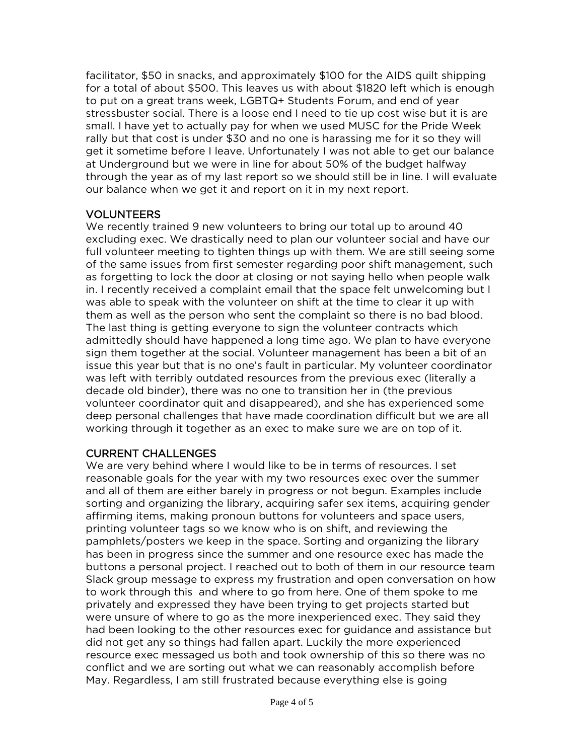facilitator, \$50 in snacks, and approximately \$100 for the AIDS quilt shipping for a total of about \$500. This leaves us with about \$1820 left which is enough to put on a great trans week, LGBTQ+ Students Forum, and end of year stressbuster social. There is a loose end I need to tie up cost wise but it is are small. I have yet to actually pay for when we used MUSC for the Pride Week rally but that cost is under \$30 and no one is harassing me for it so they will get it sometime before I leave. Unfortunately I was not able to get our balance at Underground but we were in line for about 50% of the budget halfway through the year as of my last report so we should still be in line. I will evaluate our balance when we get it and report on it in my next report.

### VOLUNTEERS

We recently trained 9 new volunteers to bring our total up to around 40 excluding exec. We drastically need to plan our volunteer social and have our full volunteer meeting to tighten things up with them. We are still seeing some of the same issues from first semester regarding poor shift management, such as forgetting to lock the door at closing or not saying hello when people walk in. I recently received a complaint email that the space felt unwelcoming but I was able to speak with the volunteer on shift at the time to clear it up with them as well as the person who sent the complaint so there is no bad blood. The last thing is getting everyone to sign the volunteer contracts which admittedly should have happened a long time ago. We plan to have everyone sign them together at the social. Volunteer management has been a bit of an issue this year but that is no one's fault in particular. My volunteer coordinator was left with terribly outdated resources from the previous exec (literally a decade old binder), there was no one to transition her in (the previous volunteer coordinator quit and disappeared), and she has experienced some deep personal challenges that have made coordination difficult but we are all working through it together as an exec to make sure we are on top of it.

### CURRENT CHALLENGES

We are very behind where I would like to be in terms of resources. I set reasonable goals for the year with my two resources exec over the summer and all of them are either barely in progress or not begun. Examples include sorting and organizing the library, acquiring safer sex items, acquiring gender affirming items, making pronoun buttons for volunteers and space users, printing volunteer tags so we know who is on shift, and reviewing the pamphlets/posters we keep in the space. Sorting and organizing the library has been in progress since the summer and one resource exec has made the buttons a personal project. I reached out to both of them in our resource team Slack group message to express my frustration and open conversation on how to work through this and where to go from here. One of them spoke to me privately and expressed they have been trying to get projects started but were unsure of where to go as the more inexperienced exec. They said they had been looking to the other resources exec for guidance and assistance but did not get any so things had fallen apart. Luckily the more experienced resource exec messaged us both and took ownership of this so there was no conflict and we are sorting out what we can reasonably accomplish before May. Regardless, I am still frustrated because everything else is going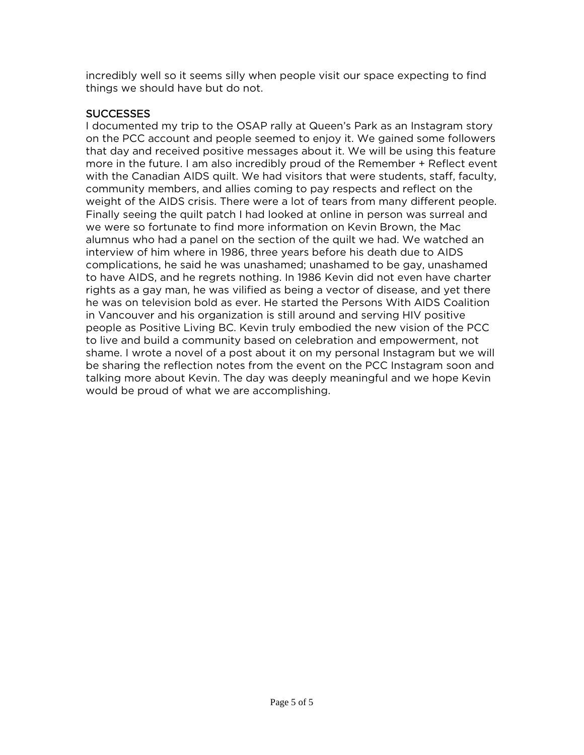incredibly well so it seems silly when people visit our space expecting to find things we should have but do not.

### **SUCCESSES**

I documented my trip to the OSAP rally at Queen's Park as an Instagram story on the PCC account and people seemed to enjoy it. We gained some followers that day and received positive messages about it. We will be using this feature more in the future. I am also incredibly proud of the Remember + Reflect event with the Canadian AIDS quilt. We had visitors that were students, staff, faculty, community members, and allies coming to pay respects and reflect on the weight of the AIDS crisis. There were a lot of tears from many different people. Finally seeing the quilt patch I had looked at online in person was surreal and we were so fortunate to find more information on Kevin Brown, the Mac alumnus who had a panel on the section of the quilt we had. We watched an interview of him where in 1986, three years before his death due to AIDS complications, he said he was unashamed; unashamed to be gay, unashamed to have AIDS, and he regrets nothing. In 1986 Kevin did not even have charter rights as a gay man, he was vilified as being a vector of disease, and yet there he was on television bold as ever. He started the Persons With AIDS Coalition in Vancouver and his organization is still around and serving HIV positive people as Positive Living BC. Kevin truly embodied the new vision of the PCC to live and build a community based on celebration and empowerment, not shame. I wrote a novel of a post about it on my personal Instagram but we will be sharing the reflection notes from the event on the PCC Instagram soon and talking more about Kevin. The day was deeply meaningful and we hope Kevin would be proud of what we are accomplishing.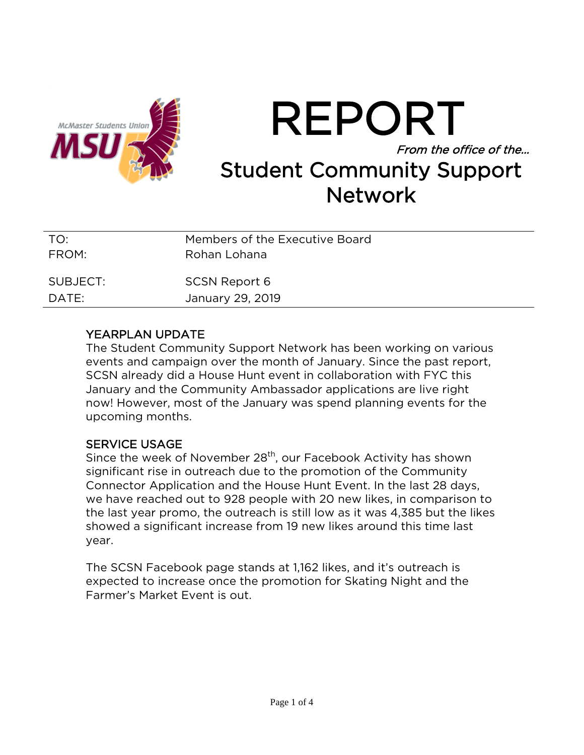

REPORT From the office of the… Student Community Support **Network** 

| TO:      | Members of the Executive Board |
|----------|--------------------------------|
| FROM:    | Rohan Lohana                   |
| SUBJECT: | <b>SCSN Report 6</b>           |
| DATE:    | January 29, 2019               |

### YEARPLAN UPDATE

The Student Community Support Network has been working on various events and campaign over the month of January. Since the past report, SCSN already did a House Hunt event in collaboration with FYC this January and the Community Ambassador applications are live right now! However, most of the January was spend planning events for the upcoming months.

### SERVICE USAGE

Since the week of November 28<sup>th</sup>, our Facebook Activity has shown significant rise in outreach due to the promotion of the Community Connector Application and the House Hunt Event. In the last 28 days, we have reached out to 928 people with 20 new likes, in comparison to the last year promo, the outreach is still low as it was 4,385 but the likes showed a significant increase from 19 new likes around this time last year.

The SCSN Facebook page stands at 1,162 likes, and it's outreach is expected to increase once the promotion for Skating Night and the Farmer's Market Event is out.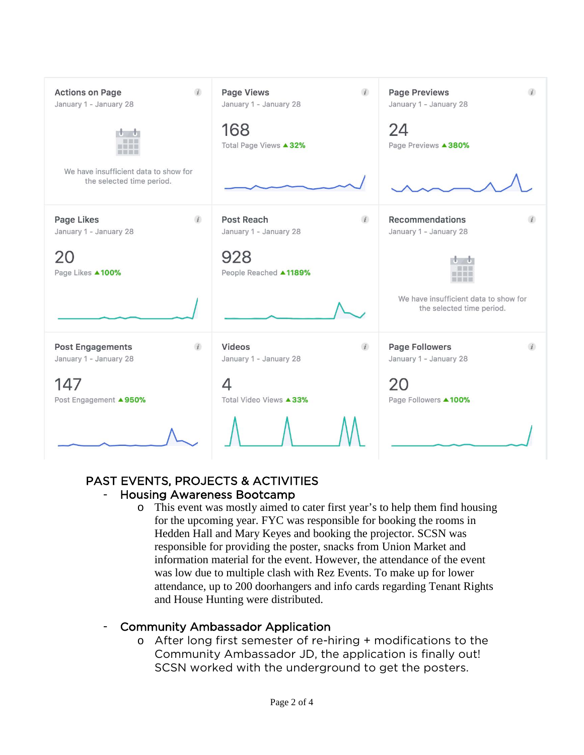| $\overline{i}$<br><b>Actions on Page</b><br>January 1 - January 28  | $\overline{i}$<br>Page Views<br>January 1 - January 28    | <b>Page Previews</b><br>$\mathbf{i}$<br>January 1 - January 28     |
|---------------------------------------------------------------------|-----------------------------------------------------------|--------------------------------------------------------------------|
| 田田田田                                                                | 168<br>Total Page Views ▲ 32%                             | 24<br>Page Previews <b>4380%</b>                                   |
| We have insufficient data to show for<br>the selected time period.  |                                                           |                                                                    |
| Page Likes<br>$\mathbf{i}$<br>January 1 - January 28                | Post Reach<br>$\mathbf{i}$<br>January 1 - January 28      | Recommendations<br>January 1 - January 28                          |
| 20<br>Page Likes ▲100%                                              | 928<br>People Reached ▲1189%                              |                                                                    |
|                                                                     |                                                           | We have insufficient data to show for<br>the selected time period. |
| $\overline{i}$<br><b>Post Engagements</b><br>January 1 - January 28 | <b>Videos</b><br>$\overline{i}$<br>January 1 - January 28 | <b>Page Followers</b><br>$\mathbf{i}$<br>January 1 - January 28    |
| 147<br>Post Engagement ▲950%                                        | 4<br>Total Video Views ▲33%                               | 20<br>Page Followers ▲100%                                         |
|                                                                     |                                                           |                                                                    |

### PAST EVENTS, PROJECTS & ACTIVITIES - Housing Awareness Bootcamp

o This event was mostly aimed to cater first year's to help them find housing for the upcoming year. FYC was responsible for booking the rooms in Hedden Hall and Mary Keyes and booking the projector. SCSN was responsible for providing the poster, snacks from Union Market and information material for the event. However, the attendance of the event was low due to multiple clash with Rez Events. To make up for lower attendance, up to 200 doorhangers and info cards regarding Tenant Rights and House Hunting were distributed.

### - Community Ambassador Application

o After long first semester of re-hiring + modifications to the Community Ambassador JD, the application is finally out! SCSN worked with the underground to get the posters.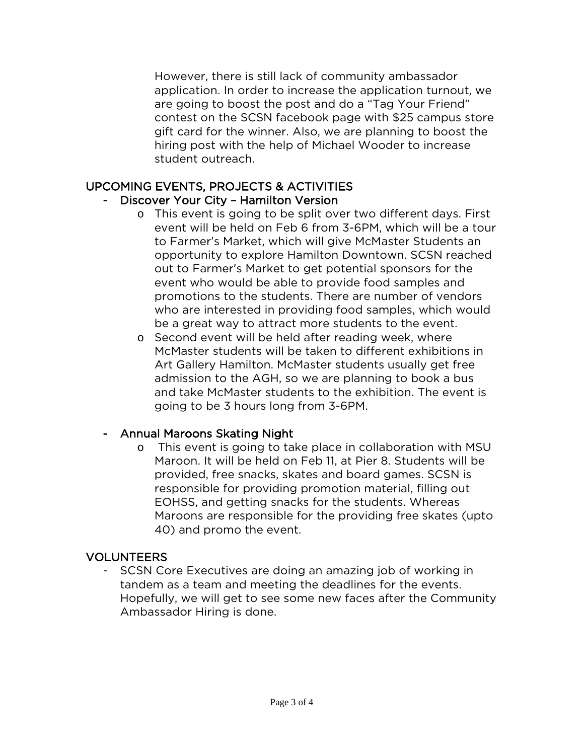However, there is still lack of community ambassador application. In order to increase the application turnout, we are going to boost the post and do a "Tag Your Friend" contest on the SCSN facebook page with \$25 campus store gift card for the winner. Also, we are planning to boost the hiring post with the help of Michael Wooder to increase student outreach.

### UPCOMING EVENTS, PROJECTS & ACTIVITIES

### Discover Your City - Hamilton Version

- o This event is going to be split over two different days. First event will be held on Feb 6 from 3-6PM, which will be a tour to Farmer's Market, which will give McMaster Students an opportunity to explore Hamilton Downtown. SCSN reached out to Farmer's Market to get potential sponsors for the event who would be able to provide food samples and promotions to the students. There are number of vendors who are interested in providing food samples, which would be a great way to attract more students to the event.
- o Second event will be held after reading week, where McMaster students will be taken to different exhibitions in Art Gallery Hamilton. McMaster students usually get free admission to the AGH, so we are planning to book a bus and take McMaster students to the exhibition. The event is going to be 3 hours long from 3-6PM.

### - Annual Maroons Skating Night

o This event is going to take place in collaboration with MSU Maroon. It will be held on Feb 11, at Pier 8. Students will be provided, free snacks, skates and board games. SCSN is responsible for providing promotion material, filling out EOHSS, and getting snacks for the students. Whereas Maroons are responsible for the providing free skates (upto 40) and promo the event.

### VOLUNTEERS

SCSN Core Executives are doing an amazing job of working in tandem as a team and meeting the deadlines for the events. Hopefully, we will get to see some new faces after the Community Ambassador Hiring is done.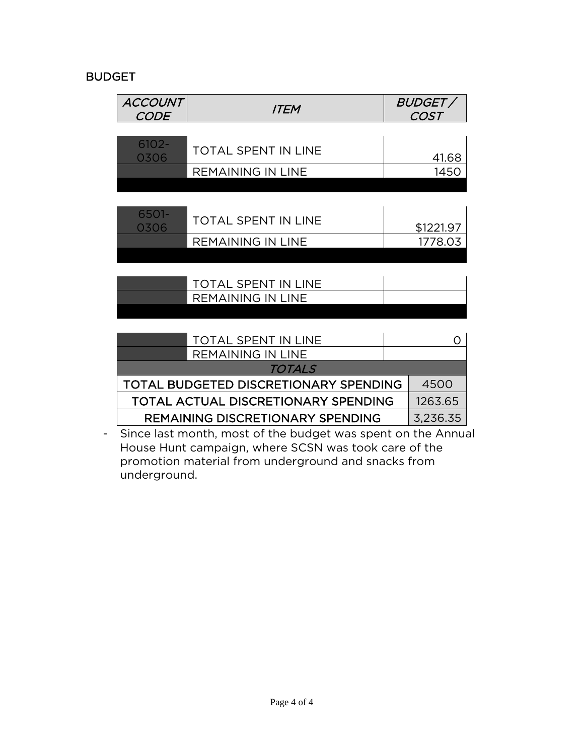## BUDGET

| ACCOUNT<br>CODE | <b>ITEM</b>                                                  | <i>BUDGET /</i><br>COST |
|-----------------|--------------------------------------------------------------|-------------------------|
|                 |                                                              |                         |
| 6102-<br>0306   | TOTAL SPENT IN LINE                                          | 41.68                   |
|                 | <b>REMAINING IN LINE</b>                                     | 1450                    |
|                 |                                                              |                         |
|                 |                                                              |                         |
| 6501-<br>0306   | <b>TOTAL SPENT IN LINE</b>                                   | \$1221.97               |
|                 | <b>REMAINING IN LINE</b>                                     | 1778.03                 |
|                 |                                                              |                         |
|                 | TOTAL SPENT IN LINE                                          |                         |
|                 | <b>REMAINING IN LINE</b>                                     |                         |
|                 |                                                              |                         |
|                 |                                                              |                         |
|                 | TOTAL SPENT IN LINE                                          | Ω                       |
|                 | <b>REMAINING IN LINE</b>                                     |                         |
|                 | TOTALS                                                       |                         |
|                 | TOTAL BUDGETED DISCRETIONARY SPENDING                        | 4500                    |
|                 | TOTAL ACTUAL DISCRETIONARY SPENDING                          | 1263.65                 |
|                 | <b>REMAINING DISCRETIONARY SPENDING</b>                      | 3,236.35                |
|                 | Since last month, most of the budget was spent on the Annual |                         |

House Hunt campaign, where SCSN was took care of the promotion material from underground and snacks from underground.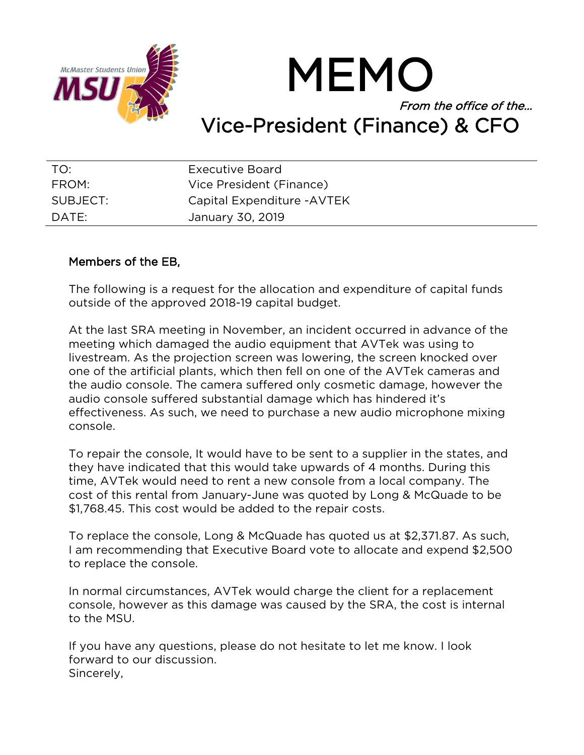

MEMO From the office of the… Vice-President (Finance) & CFO

| TO:      | <b>Executive Board</b>      |
|----------|-----------------------------|
| FROM:    | Vice President (Finance)    |
| SUBJECT: | Capital Expenditure - AVTEK |
| DATE:    | January 30, 2019            |

### Members of the EB,

The following is a request for the allocation and expenditure of capital funds outside of the approved 2018-19 capital budget.

At the last SRA meeting in November, an incident occurred in advance of the meeting which damaged the audio equipment that AVTek was using to livestream. As the projection screen was lowering, the screen knocked over one of the artificial plants, which then fell on one of the AVTek cameras and the audio console. The camera suffered only cosmetic damage, however the audio console suffered substantial damage which has hindered it's effectiveness. As such, we need to purchase a new audio microphone mixing console.

To repair the console, It would have to be sent to a supplier in the states, and they have indicated that this would take upwards of 4 months. During this time, AVTek would need to rent a new console from a local company. The cost of this rental from January-June was quoted by Long & McQuade to be \$1,768.45. This cost would be added to the repair costs.

To replace the console, Long & McQuade has quoted us at \$2,371.87. As such, I am recommending that Executive Board vote to allocate and expend \$2,500 to replace the console.

In normal circumstances, AVTek would charge the client for a replacement console, however as this damage was caused by the SRA, the cost is internal to the MSU.

If you have any questions, please do not hesitate to let me know. I look forward to our discussion. Sincerely,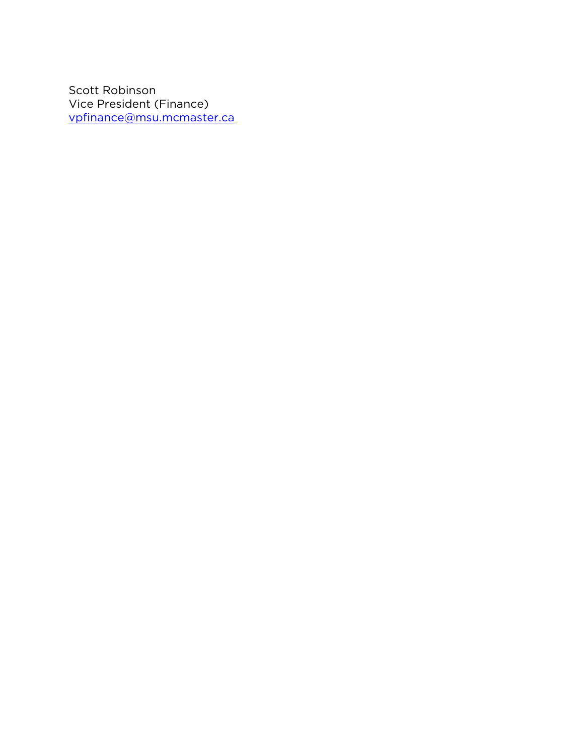Scott Robinson Vice President (Finance) [vpfinance@msu.mcmaster.ca](mailto:vpfinance@msu.mcmaster.ca)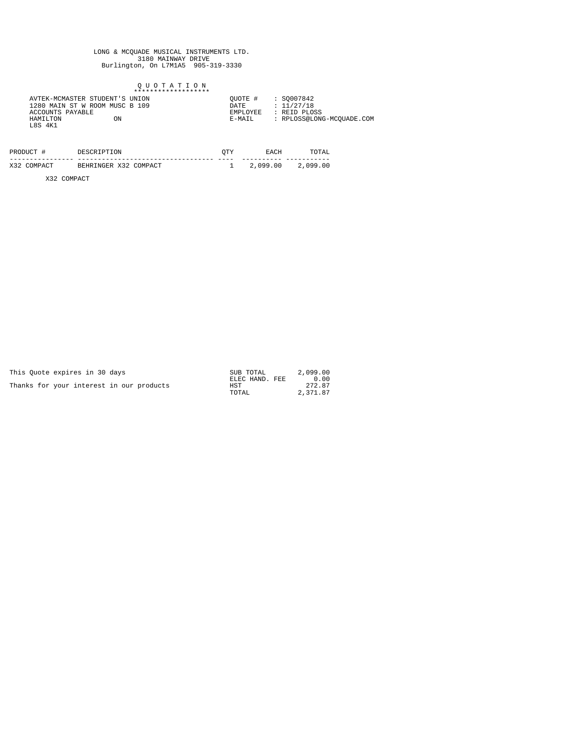# LONG & MCQUADE MUSICAL INSTRUMENTS LTD.<br>3180 MAINWAY DRIVE<br>Burlington, On L7M1A5 905-319-3330

### Q U O T A T I O N<br>\*\*\*\*\*\*\*\*\*\*\*\*\*\*\*\*\*\*\*\*\*\*

| PRODUCT #   | DESCRIPTION           | OTY  | <b>EACH</b> | TOTAL    |
|-------------|-----------------------|------|-------------|----------|
|             |                       | ---- |             |          |
| X32 COMPACT | BEHRINGER X32 COMPACT |      | 2,099.00    | 2,099.00 |

X32 COMPACT

| This Ouote expires in 30 days            | SUB TOTAL      | 2,099.00 |
|------------------------------------------|----------------|----------|
|                                          | ELEC HAND. FEE | 0.00     |
| Thanks for your interest in our products | HST            | 272.87   |
|                                          | TOTAL          | 2,371.87 |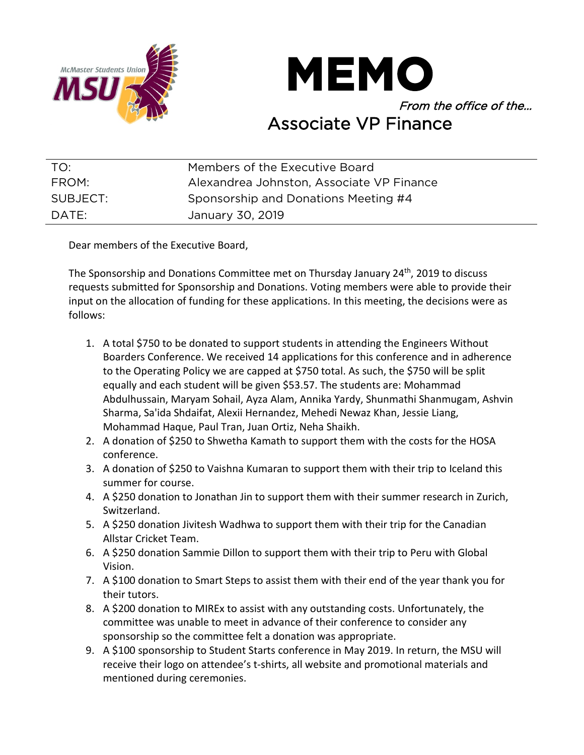



| TO:      | Members of the Executive Board            |
|----------|-------------------------------------------|
| FROM:    | Alexandrea Johnston, Associate VP Finance |
| SUBJECT: | Sponsorship and Donations Meeting #4      |
| DATE:    | January 30, 2019                          |

Dear members of the Executive Board,

The Sponsorship and Donations Committee met on Thursday January 24<sup>th</sup>, 2019 to discuss requests submitted for Sponsorship and Donations. Voting members were able to provide their input on the allocation of funding for these applications. In this meeting, the decisions were as follows:

- 1. A total \$750 to be donated to support students in attending the Engineers Without Boarders Conference. We received 14 applications for this conference and in adherence to the Operating Policy we are capped at \$750 total. As such, the \$750 will be split equally and each student will be given \$53.57. The students are: Mohammad Abdulhussain, Maryam Sohail, Ayza Alam, Annika Yardy, Shunmathi Shanmugam, Ashvin Sharma, Sa'ida Shdaifat, Alexii Hernandez, Mehedi Newaz Khan, Jessie Liang, Mohammad Haque, Paul Tran, Juan Ortiz, Neha Shaikh.
- 2. A donation of \$250 to Shwetha Kamath to support them with the costs for the HOSA conference.
- 3. A donation of \$250 to Vaishna Kumaran to support them with their trip to Iceland this summer for course.
- 4. A \$250 donation to Jonathan Jin to support them with their summer research in Zurich, Switzerland.
- 5. A \$250 donation Jivitesh Wadhwa to support them with their trip for the Canadian Allstar Cricket Team.
- 6. A \$250 donation Sammie Dillon to support them with their trip to Peru with Global Vision.
- 7. A \$100 donation to Smart Steps to assist them with their end of the year thank you for their tutors.
- 8. A \$200 donation to MIREx to assist with any outstanding costs. Unfortunately, the committee was unable to meet in advance of their conference to consider any sponsorship so the committee felt a donation was appropriate.
- 9. A \$100 sponsorship to Student Starts conference in May 2019. In return, the MSU will receive their logo on attendee's t-shirts, all website and promotional materials and mentioned during ceremonies.